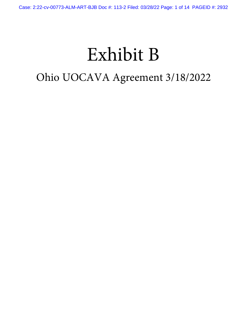# Exhibit B

## Ohio UOCAVA Agreement 3/18/2022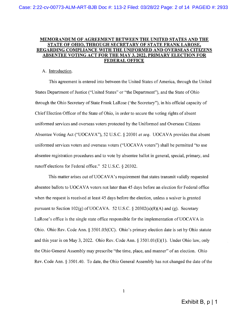### MEMORANDUM OF AGREEMENT BETWEEN THE UNITED STATES AND THE STATE OF OHIO, THROUGH SECRETARY OF STATE FRANK LAROSE, REGARDING COMPLIANCE WITH THE UNIFORMED AND OVERSEAS CITIZENS <u>ABSENTEE VOTING ACT FOR THE MAY 3, 2022, PRIMARY ELECTION FOR</u> **FEDERAL OFFICE**

### A. Introduction.

This agreement is entered into between the United States of America, through the United States Department of Justice ("United States" or "the Department"), and the State of Ohio through the Ohio Secretary of State Frank LaRose ('the Secretary''), in his official capacity of Chief Election Officer of the State of Ohio, in order to secure the voting rights of absent uniformed services and overseas voters protected by the Uniformed and Overseas Citizens Absentee Voting Act ("UOCAVA"), 52 U.S.C. § 20301 et seq. UOCAVA provides that absent uniformed services voters and overseas voters ("UOCAVA voters") shall be permitted "to use absentee registration procedures and to vote by absentee ballot in general, special, primary, and runoff elections for Federal office." 52 U.S.C. § 20302.

This matter arises out of UOCAVA's requirement that states transmit validly requested absentee ballots to UOCAVA voters not later than 45 days before an election for Federal office when the request is received at least 45 days before the election, unless a waiver is granted pursuant to Section 102(g) of UOCAVA. 52 U.S.C.  $\S$  20302(a)(8)(A) and (g). Secretary LaRose's office is the single state office responsible for the implementation of UOCAVA in Ohio. Ohio Rev. Code Ann. § 3501.05(CC). Ohio's primary election date is set by Ohio statute and this year is on May 3, 2022. Ohio Rev. Code Ann. § 3501.01(E)(1). Under Ohio law, only the Ohio General Assembly may prescribe "the time, place, and manner" of an election. Ohio Rev. Code Ann. § 3501.40. To date, the Ohio General Assembly has not changed the date of the

 $\mathbf{1}$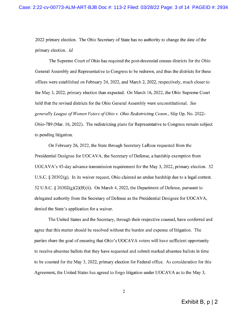2022 primary election. The Ohio Secretary of State has no authority to change the date of the primary election. Id.

The Supreme Court of Ohio has required the post-decennial census districts for the Ohio General Assembly and Representative to Congress to be redrawn, and thus the districts for these offices were established on February 24, 2022, and March 2, 2022, respectively, much closer to the May 3, 2022, primary election than expected. On March 16, 2022, the Ohio Supreme Court held that the revised districts for the Ohio General Assembly were unconstitutional. See generally League of Women Voters of Ohio v. Ohio Redistricting Comm., Slip Op. No. 2022-Ohio-789 (Mar. 16, 2022). The redistricting plans for Representative to Congress remain subject to pending litigation.

On February 26, 2022, the State through Secretary LaRose requested from the Presidential Designee for UOCAVA, the Secretary of Defense, a hardship exemption from UOCAVA's 45-day advance transmission requirement for the May 3, 2022, primary election. 52 U.S.C.  $\S$  20302(g). In its waiver request, Ohio claimed an undue hardship due to a legal contest. 52 U.S.C. § 20302(g)(2)(B)(ii). On March 4, 2022, the Department of Defense, pursuant to delegated authority from the Secretary of Defense as the Presidential Designee for UOCAVA, denied the State's application for a waiver.

The United States and the Secretary, through their respective counsel, have conferred and agree that this matter should be resolved without the burden and expense of litigation. The parties share the goal of ensuring that Ohio's UOCAVA voters will have sufficient opportunity to receive absentee ballots that they have requested and submit marked absentee ballots in time to be counted for the May 3, 2022, primary election for Federal office. As consideration for this Agreement, the United States has agreed to forgo litigation under UOCAVA as to the May 3,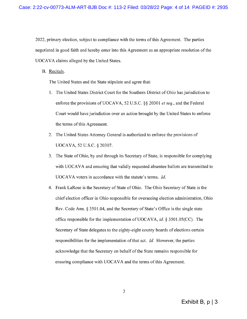2022, primary election, subject to compliance with the terms of this Agreement. The parties negotiated in good faith and hereby enter into this Agreement as an appropriate resolution of the UOCAVA claims alleged by the United States.

B. Recitals.

The United States and the State stipulate and agree that:

- 1. The United States District Court for the Southern District of Ohio has jurisdiction to enforce the provisions of UOCAVA, 52 U.S.C. §§ 20301 *et seq.*, and the Federal Court would have jurisdiction over an action brought by the United States to enforce the terms of this Agreement.
- 2. The United States Attorney General is authorized to enforce the provisions of UOCAVA, 52 U.S.C. § 20307.
- 3. The State of Ohio, by and through its Secretary of State, is responsible for complying with UOCAVA and ensuring that validly requested absentee ballots are transmitted to UOCAVA voters in accordance with the statute's terms. Id.
- 4. Frank LaRose is the Secretary of State of Ohio. The Ohio Secretary of State is the chief election officer in Ohio responsible for overseeing election administration, Ohio Rev. Code Ann. § 3501.04, and the Secretary of State's Office is the single state office responsible for the implementation of UOCAVA, id. § 3501.05(CC). The Secretary of State delegates to the eighty-eight county boards of elections certain responsibilities for the implementation of that act. Id. However, the parties acknowledge that the Secretary on behalf of the State remains responsible for ensuring compliance with UOCAVA and the terms of this Agreement.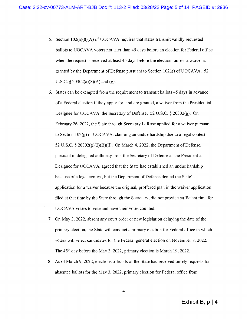- 5. Section  $102(a)(8)(A)$  of UOCAVA requires that states transmit validly requested ballots to UOCAVA voters not later than 45 days before an election for Federal office when the request is received at least 45 days before the election, unless a waiver is granted by the Department of Defense pursuant to Section 102(g) of UOCAVA. 52 U.S.C.  $\S 20302(a)(8)(A)$  and (g).
- 6. States can be exempted from the requirement to transmit ballots 45 days in advance of a Federal election if they apply for, and are granted, a waiver from the Presidential Designee for UOCAVA, the Secretary of Defense. 52 U.S.C. § 20302(g). On February 26, 2022, the State through Secretary LaRose applied for a waiver pursuant to Section  $102(g)$  of UOCAVA, claiming an undue hardship due to a legal contest. 52 U.S.C. § 20302(g)(2)(B)(ii). On March 4, 2022, the Department of Defense, pursuant to delegated authority from the Secretary of Defense as the Presidential Designee for UOCAVA, agreed that the State had established an undue hardship because of a legal contest, but the Department of Defense denied the State's application for a waiver because the original, proffered plan in the waiver application filed at that time by the State through the Secretary, did not provide sufficient time for UOCAVA voters to vote and have their votes counted.
- 7. On May 3, 2022, absent any court order or new legislation delaying the date of the primary election, the State will conduct a primary election for Federal office in which voters will select candidates for the Federal general election on November 8, 2022. The 45<sup>th</sup> day before the May 3, 2022, primary election is March 19, 2022.
- 8. As of March 9, 2022, elections officials of the State had received timely requests for absentee ballots for the May 3, 2022, primary election for Federal office from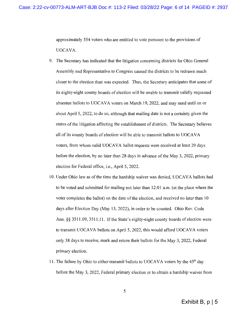approximately 554 voters who are entitled to vote pursuant to the provisions of UOCAVA.

- 9. The Secretary has indicated that the litigation concerning districts for Ohio General Assembly and Representative to Congress caused the districts to be redrawn much closer to the election than was expected. Thus, the Secretary anticipates that some of its eighty-eight county boards of election will be unable to transmit validly requested absentee ballots to UOCAVA voters on March 19, 2022, and may need until on or about April 5, 2022, to do so, although that mailing date is not a certainty given the status of the litigation affecting the establishment of districts. The Secretary believes all of its county boards of election will be able to transmit ballots to UOCAVA voters, from whom valid UOCAVA ballot requests were received at least 29 days before the election, by no later than 28 days in advance of the May 3, 2022, primary election for Federal office, i.e., April 5, 2022.
- 10. Under Ohio law as of the time the hardship waiver was denied, UOCAVA ballots had to be voted and submitted for mailing not later than 12:01 a.m. (at the place where the voter completes the ballot) on the date of the election, and received no later than 10 days after Election Day (May 13, 2022), in order to be counted. Ohio Rev. Code Ann. §§ 3511.09, 3511.11. If the State's eighty-eight county boards of election were to transmit UOCAVA ballots on April 5, 2022, this would afford UOCAVA voters only 38 days to receive, mark and return their ballots for the May 3, 2022, Federal primary election.
- 11. The failure by Ohio to either transmit ballots to UOCAVA voters by the 45<sup>th</sup> day before the May 3, 2022, Federal primary election or to obtain a hardship waiver from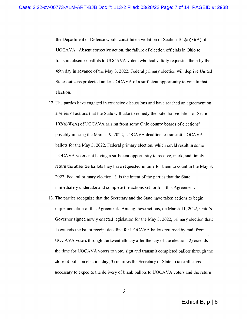the Department of Defense would constitute a violation of Section  $102(a)(8)(A)$  of UOCAVA. Absent corrective action, the failure of election officials in Ohio to transmit absentee ballots to UOCAVA voters who had validly requested them by the 45th day in advance of the May 3, 2022, Federal primary election will deprive United States citizens protected under UOCAVA of a sufficient opportunity to vote in that election.

- 12. The parties have engaged in extensive discussions and have reached an agreement on a series of actions that the State will take to remedy the potential violation of Section  $102(a)(8)(A)$  of UOCAVA arising from some Ohio county boards of elections' possibly missing the March 19, 2022, UOCAVA deadline to transmit UOCAVA ballots for the May 3, 2022, Federal primary election, which could result in some UOCAVA voters not having a sufficient opportunity to receive, mark, and timely return the absentee ballots they have requested in time for them to count in the May 3, 2022, Federal primary election. It is the intent of the parties that the State immediately undertake and complete the actions set forth in this Agreement.
- 13. The parties recognize that the Secretary and the State have taken actions to begin implementation of this Agreement. Among these actions, on March 11, 2022, Ohio's Governor signed newly enacted legislation for the May 3, 2022, primary election that: 1) extends the ballot receipt deadline for UOCAVA ballots returned by mail from UOCAVA voters through the twentieth day after the day of the election; 2) extends the time for UOCAVA voters to vote, sign and transmit completed ballots through the close of polls on election day; 3) requires the Secretary of State to take all steps necessary to expedite the delivery of blank ballots to UOCAVA voters and the return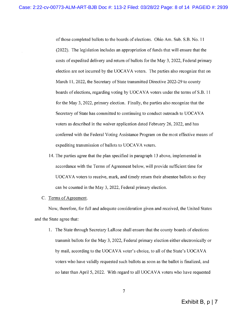of those completed ballots to the boards of elections. Ohio Am. Sub. S.B. No. 11 (2022). The legislation includes an appropriation of funds that will ensure that the costs of expedited delivery and return of ballots for the May 3, 2022, Federal primary election are not incurred by the UOCAVA voters. The parties also recognize that on March 11, 2022, the Secretary of State transmitted Directive 2022-29 to county boards of elections, regarding voting by UOCAVA voters under the terms of S.B. 11 for the May 3, 2022, primary election. Finally, the parties also recognize that the Secretary of State has committed to continuing to conduct outreach to UOCAVA voters as described in the waiver application dated February 26, 2022, and has conferred with the Federal Voting Assistance Program on the most effective means of expediting transmission of ballots to UOCAVA voters.

14. The parties agree that the plan specified in paragraph 13 above, implemented in accordance with the Terms of Agreement below, will provide sufficient time for UOCAVA voters to receive, mark, and timely return their absentee ballots so they can be counted in the May 3, 2022, Federal primary election.

### C. Terms of Agreement.

Now, therefore, for full and adequate consideration given and received, the United States and the State agree that:

1. The State through Secretary LaRose shall ensure that the county boards of elections transmit ballots for the May 3, 2022, Federal primary election either electronically or by mail, according to the UOCAVA voter's choice, to all of the State's UOCAVA voters who have validly requested such ballots as soon as the ballot is finalized, and no later than April 5, 2022. With regard to all UOCAVA voters who have requested

 $\overline{7}$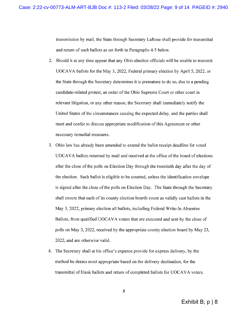transmission by mail, the State through Secretary LaRose shall provide for transmittal and return of such ballots as set forth in Paragraphs 4-5 below.

- 2. Should it at any time appear that any Ohio election officials will be unable to transmit UOCAVA ballots for the May 3, 2022, Federal primary election by April 5, 2022, or the State through the Secretary determines it is premature to do so, due to a pending candidate-related protest, an order of the Ohio Supreme Court or other court in relevant litigation, or any other reason, the Secretary shall immediately notify the United States of the circumstances causing the expected delay, and the parties shall meet and confer to discuss appropriate modification of this Agreement or other necessary remedial measures.
- 3. Ohio law has already been amended to extend the ballot receipt deadline for voted UOCAVA ballots returned by mail and received at the office of the board of elections after the close of the polls on Election Day through the twentieth day after the day of the election. Such ballot is eligible to be counted, unless the identification envelope is signed after the close of the polls on Election Day. The State through the Secretary shall ensure that each of its county election boards count as validly cast ballots in the May 3, 2022, primary election all ballots, including Federal Write-In Absentee Ballots, from qualified UOCAVA voters that are executed and sent by the close of polls on May 3, 2022, received by the appropriate county election board by May 23, 2022, and are otherwise valid.
- 4. The Secretary shall at his office's expense provide for express delivery, by the method he deems most appropriate based on the delivery destination, for the transmittal of blank ballots and return of completed ballots for UOCAVA voters.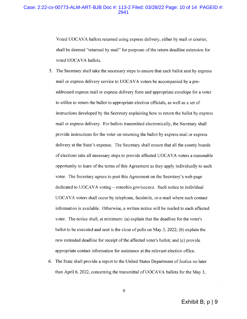### Case: 2:22-cv-00773-ALM-ART-BJB Doc #: 113-2 Filed: 03/28/22 Page: 10 of 14 PAGEID #: 2941

Voted UOCAVA ballots returned using express delivery, either by mail or courier, shall be deemed "returned by mail" for purposes of the return deadline extension for voted UOCAVA ballots.

- 5. The Secretary shall take the necessary steps to ensure that each ballot sent by express mail or express delivery service to UOCAVA voters be accompanied by a preaddressed express mail or express delivery form and appropriate envelope for a voter to utilize to return the ballot to appropriate election officials, as well as a set of instructions developed by the Secretary explaining how to return the ballot by express mail or express delivery. For ballots transmitted electronically, the Secretary shall provide instructions for the voter on returning the ballot by express mail or express delivery at the State's expense. The Secretary shall ensure that all the county boards of elections take all necessary steps to provide affected UOCAVA voters a reasonable opportunity to learn of the terms of this Agreement as they apply individually to such voter. The Secretary agrees to post this Agreement on the Secretary's web page dedicated to UOCAVA voting – voteohio.gov/uocava. Such notice to individual UOCAVA voters shall occur by telephone, facsimile, or e-mail where such contact information is available. Otherwise, a written notice will be mailed to each affected voter. The notice shall, at minimum: (a) explain that the deadline for the voter's ballot to be executed and sent is the close of polls on May 3, 2022; (b) explain the new extended deadline for receipt of the affected voter's ballot; and (c) provide appropriate contact information for assistance at the relevant election office.
- 6. The State shall provide a report to the United States Department of Justice no later than April 6, 2022, concerning the transmittal of UOCAVA ballots for the May 3,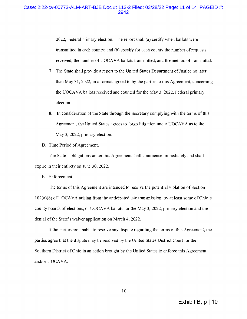### Case: 2:22-cv-00773-ALM-ART-BJB Doc #: 113-2 Filed: 03/28/22 Page: 11 of 14 PAGEID #:

2022, Federal primary election. The report shall (a) certify when ballots were transmitted in each county; and (b) specify for each county the number of requests received, the number of UOCAVA ballots transmitted, and the method of transmittal.

- 7. The State shall provide a report to the United States Department of Justice no later than May 31, 2022, in a format agreed to by the parties to this Agreement, concerning the UOCAVA ballots received and counted for the May 3, 2022, Federal primary election.
- 8. In consideration of the State through the Secretary complying with the terms of this Agreement, the United States agrees to forgo litigation under UOCAVA as to the May 3, 2022, primary election.

### D. Time Period of Agreement.

The State's obligations under this Agreement shall commence immediately and shall expire in their entirety on June 30, 2022.

#### E. Enforcement.

The terms of this Agreement are intended to resolve the potential violation of Section  $102(a)(8)$  of UOCAVA arising from the anticipated late transmission, by at least some of Ohio's county boards of elections, of UOCAVA ballots for the May 3, 2022, primary election and the denial of the State's waiver application on March 4, 2022.

If the parties are unable to resolve any dispute regarding the terms of this Agreement, the parties agree that the dispute may be resolved by the United States District Court for the Southern District of Ohio in an action brought by the United States to enforce this Agreement and/or UOCAVA.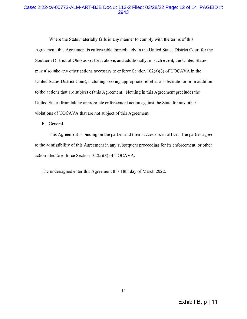### Case: 2:22-cv-00773-ALM-ART-BJB Doc #: 113-2 Filed: 03/28/22 Page: 12 of 14 PAGEID #: 2943

Where the State materially fails in any manner to comply with the terms of this Agreement, this Agreement is enforceable immediately in the United States District Court for the Southern District of Ohio as set forth above, and additionally, in such event, the United States may also take any other actions necessary to enforce Section 102(a)(8) of UOCAVA in the United States District Court, including seeking appropriate relief as a substitute for or in addition to the actions that are subject of this Agreement. Nothing in this Agreement precludes the United States from taking appropriate enforcement action against the State for any other violations of UOCAVA that are not subject of this Agreement.

F. General.

This Agreement is binding on the parties and their successors in office. The parties agree to the admissibility of this Agreement in any subsequent proceeding for its enforcement, or other action filed to enforce Section 102(a)(8) of UOCAVA.

The undersigned enter this Agreement this 18th day of March 2022.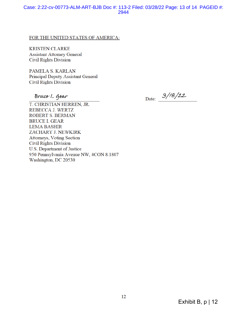### Case: 2:22-cv-00773-ALM-ART-BJB Doc #: 113-2 Filed: 03/28/22 Page: 13 of 14 PAGEID #: 2944

### FOR THE UNITED STATES OF AMERICA:

**KRISTEN CLARKE Assistant Attorney General Civil Rights Division** 

PAMELA S. KARLAN Principal Deputy Assistant General **Civil Rights Division** 

Bruce 1. Gear

Date:  $3/18/22$ 

T. CHRISTIAN HERREN, JR. REBECCA J. WERTZ ROBERT S. BERMAN **BRUCE I. GEAR LEMA BASHIR** ZACHARY J. NEWKIRK **Attorneys, Voting Section Civil Rights Division** U.S. Department of Justice 950 Pennsylvania Avenue NW, 4CON 8.1807 Washington, DC 20530